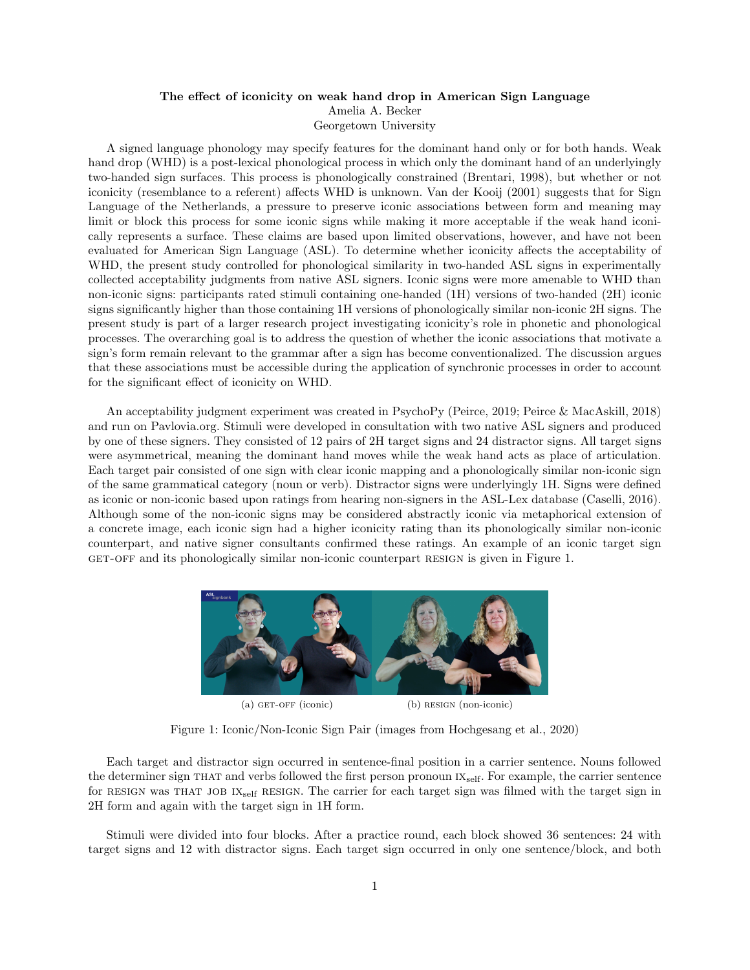## The effect of iconicity on weak hand drop in American Sign Language Amelia A. Becker Georgetown University

A signed language phonology may specify features for the dominant hand only or for both hands. Weak hand drop (WHD) is a post-lexical phonological process in which only the dominant hand of an underlyingly two-handed sign surfaces. This process is phonologically constrained (Brentari, 1998), but whether or not iconicity (resemblance to a referent) affects WHD is unknown. Van der Kooij (2001) suggests that for Sign Language of the Netherlands, a pressure to preserve iconic associations between form and meaning may limit or block this process for some iconic signs while making it more acceptable if the weak hand iconically represents a surface. These claims are based upon limited observations, however, and have not been evaluated for American Sign Language (ASL). To determine whether iconicity affects the acceptability of WHD, the present study controlled for phonological similarity in two-handed ASL signs in experimentally collected acceptability judgments from native ASL signers. Iconic signs were more amenable to WHD than non-iconic signs: participants rated stimuli containing one-handed (1H) versions of two-handed (2H) iconic signs significantly higher than those containing 1H versions of phonologically similar non-iconic 2H signs. The present study is part of a larger research project investigating iconicity's role in phonetic and phonological processes. The overarching goal is to address the question of whether the iconic associations that motivate a sign's form remain relevant to the grammar after a sign has become conventionalized. The discussion argues that these associations must be accessible during the application of synchronic processes in order to account for the significant effect of iconicity on WHD.

An acceptability judgment experiment was created in PsychoPy (Peirce, 2019; Peirce & MacAskill, 2018) and run on Pavlovia.org. Stimuli were developed in consultation with two native ASL signers and produced by one of these signers. They consisted of 12 pairs of 2H target signs and 24 distractor signs. All target signs were asymmetrical, meaning the dominant hand moves while the weak hand acts as place of articulation. Each target pair consisted of one sign with clear iconic mapping and a phonologically similar non-iconic sign of the same grammatical category (noun or verb). Distractor signs were underlyingly 1H. Signs were defined as iconic or non-iconic based upon ratings from hearing non-signers in the ASL-Lex database (Caselli, 2016). Although some of the non-iconic signs may be considered abstractly iconic via metaphorical extension of a concrete image, each iconic sign had a higher iconicity rating than its phonologically similar non-iconic counterpart, and native signer consultants confirmed these ratings. An example of an iconic target sign get-off and its phonologically similar non-iconic counterpart resign is given in Figure 1.



(a) GET-OFF (iconic) (b) RESIGN (non-iconic)

Figure 1: Iconic/Non-Iconic Sign Pair (images from Hochgesang et al., 2020)

Each target and distractor sign occurred in sentence-final position in a carrier sentence. Nouns followed the determiner sign THAT and verbs followed the first person pronoun  $IX_{self}$ . For example, the carrier sentence for RESIGN was THAT JOB IX<sub>self</sub> RESIGN. The carrier for each target sign was filmed with the target sign in 2H form and again with the target sign in 1H form.

Stimuli were divided into four blocks. After a practice round, each block showed 36 sentences: 24 with target signs and 12 with distractor signs. Each target sign occurred in only one sentence/block, and both